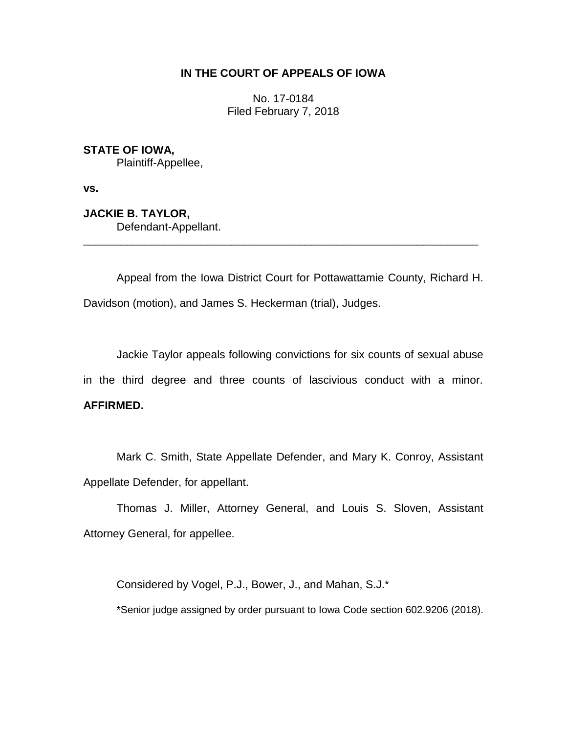# **IN THE COURT OF APPEALS OF IOWA**

No. 17-0184 Filed February 7, 2018

**STATE OF IOWA,** Plaintiff-Appellee,

**vs.**

**JACKIE B. TAYLOR,** Defendant-Appellant.

Appeal from the Iowa District Court for Pottawattamie County, Richard H. Davidson (motion), and James S. Heckerman (trial), Judges.

\_\_\_\_\_\_\_\_\_\_\_\_\_\_\_\_\_\_\_\_\_\_\_\_\_\_\_\_\_\_\_\_\_\_\_\_\_\_\_\_\_\_\_\_\_\_\_\_\_\_\_\_\_\_\_\_\_\_\_\_\_\_\_\_

Jackie Taylor appeals following convictions for six counts of sexual abuse in the third degree and three counts of lascivious conduct with a minor. **AFFIRMED.**

Mark C. Smith, State Appellate Defender, and Mary K. Conroy, Assistant Appellate Defender, for appellant.

Thomas J. Miller, Attorney General, and Louis S. Sloven, Assistant Attorney General, for appellee.

Considered by Vogel, P.J., Bower, J., and Mahan, S.J.\*

\*Senior judge assigned by order pursuant to Iowa Code section 602.9206 (2018).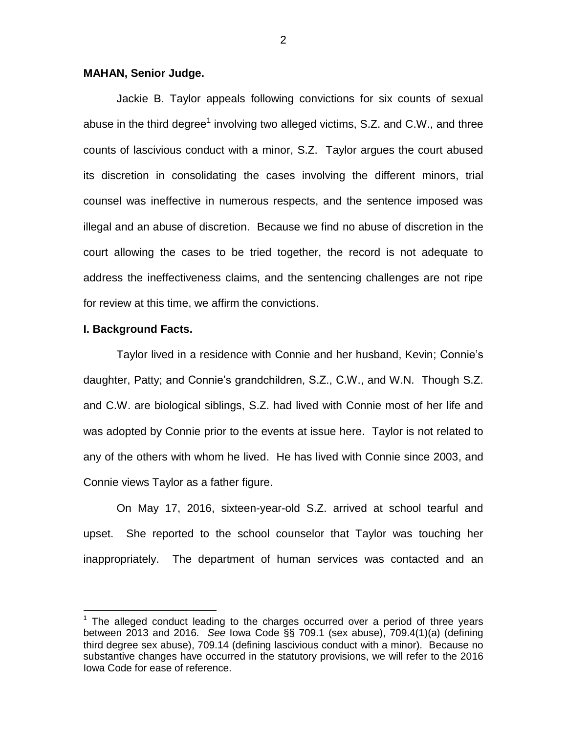## **MAHAN, Senior Judge.**

Jackie B. Taylor appeals following convictions for six counts of sexual abuse in the third degree<sup>1</sup> involving two alleged victims, S.Z. and C.W., and three counts of lascivious conduct with a minor, S.Z. Taylor argues the court abused its discretion in consolidating the cases involving the different minors, trial counsel was ineffective in numerous respects, and the sentence imposed was illegal and an abuse of discretion. Because we find no abuse of discretion in the court allowing the cases to be tried together, the record is not adequate to address the ineffectiveness claims, and the sentencing challenges are not ripe for review at this time, we affirm the convictions.

### **I. Background Facts.**

 $\overline{a}$ 

Taylor lived in a residence with Connie and her husband, Kevin; Connie's daughter, Patty; and Connie's grandchildren, S.Z., C.W., and W.N. Though S.Z. and C.W. are biological siblings, S.Z. had lived with Connie most of her life and was adopted by Connie prior to the events at issue here. Taylor is not related to any of the others with whom he lived. He has lived with Connie since 2003, and Connie views Taylor as a father figure.

On May 17, 2016, sixteen-year-old S.Z. arrived at school tearful and upset. She reported to the school counselor that Taylor was touching her inappropriately. The department of human services was contacted and an

 $1$  The alleged conduct leading to the charges occurred over a period of three years between 2013 and 2016. *See* Iowa Code §§ 709.1 (sex abuse), 709.4(1)(a) (defining third degree sex abuse), 709.14 (defining lascivious conduct with a minor). Because no substantive changes have occurred in the statutory provisions, we will refer to the 2016 Iowa Code for ease of reference.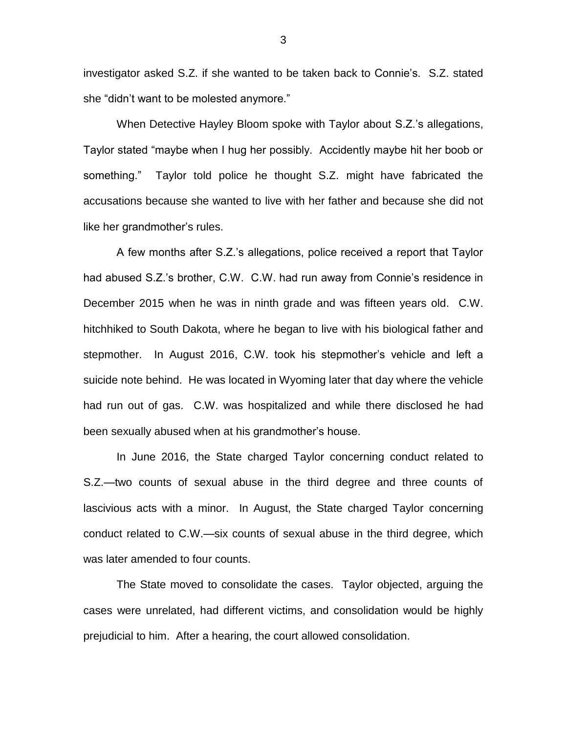investigator asked S.Z. if she wanted to be taken back to Connie's. S.Z. stated she "didn't want to be molested anymore."

When Detective Hayley Bloom spoke with Taylor about S.Z.'s allegations, Taylor stated "maybe when I hug her possibly. Accidently maybe hit her boob or something." Taylor told police he thought S.Z. might have fabricated the accusations because she wanted to live with her father and because she did not like her grandmother's rules.

A few months after S.Z.'s allegations, police received a report that Taylor had abused S.Z.'s brother, C.W. C.W. had run away from Connie's residence in December 2015 when he was in ninth grade and was fifteen years old. C.W. hitchhiked to South Dakota, where he began to live with his biological father and stepmother. In August 2016, C.W. took his stepmother's vehicle and left a suicide note behind. He was located in Wyoming later that day where the vehicle had run out of gas. C.W. was hospitalized and while there disclosed he had been sexually abused when at his grandmother's house.

In June 2016, the State charged Taylor concerning conduct related to S.Z.—two counts of sexual abuse in the third degree and three counts of lascivious acts with a minor. In August, the State charged Taylor concerning conduct related to C.W.—six counts of sexual abuse in the third degree, which was later amended to four counts.

The State moved to consolidate the cases. Taylor objected, arguing the cases were unrelated, had different victims, and consolidation would be highly prejudicial to him. After a hearing, the court allowed consolidation.

3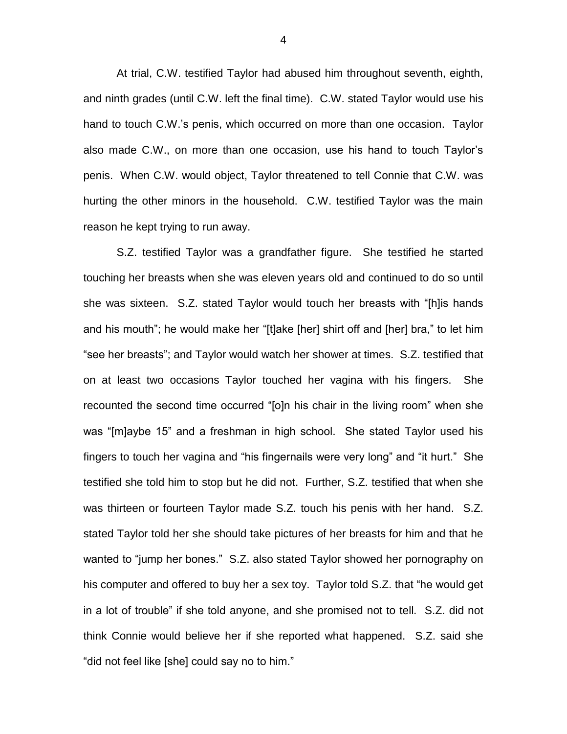At trial, C.W. testified Taylor had abused him throughout seventh, eighth, and ninth grades (until C.W. left the final time). C.W. stated Taylor would use his hand to touch C.W.'s penis, which occurred on more than one occasion. Taylor also made C.W., on more than one occasion, use his hand to touch Taylor's penis. When C.W. would object, Taylor threatened to tell Connie that C.W. was hurting the other minors in the household. C.W. testified Taylor was the main reason he kept trying to run away.

S.Z. testified Taylor was a grandfather figure. She testified he started touching her breasts when she was eleven years old and continued to do so until she was sixteen. S.Z. stated Taylor would touch her breasts with "[h]is hands and his mouth"; he would make her "[t]ake [her] shirt off and [her] bra," to let him "see her breasts"; and Taylor would watch her shower at times. S.Z. testified that on at least two occasions Taylor touched her vagina with his fingers. She recounted the second time occurred "[o]n his chair in the living room" when she was "[m]aybe 15" and a freshman in high school. She stated Taylor used his fingers to touch her vagina and "his fingernails were very long" and "it hurt." She testified she told him to stop but he did not. Further, S.Z. testified that when she was thirteen or fourteen Taylor made S.Z. touch his penis with her hand. S.Z. stated Taylor told her she should take pictures of her breasts for him and that he wanted to "jump her bones." S.Z. also stated Taylor showed her pornography on his computer and offered to buy her a sex toy. Taylor told S.Z. that "he would get in a lot of trouble" if she told anyone, and she promised not to tell. S.Z. did not think Connie would believe her if she reported what happened. S.Z. said she "did not feel like [she] could say no to him."

4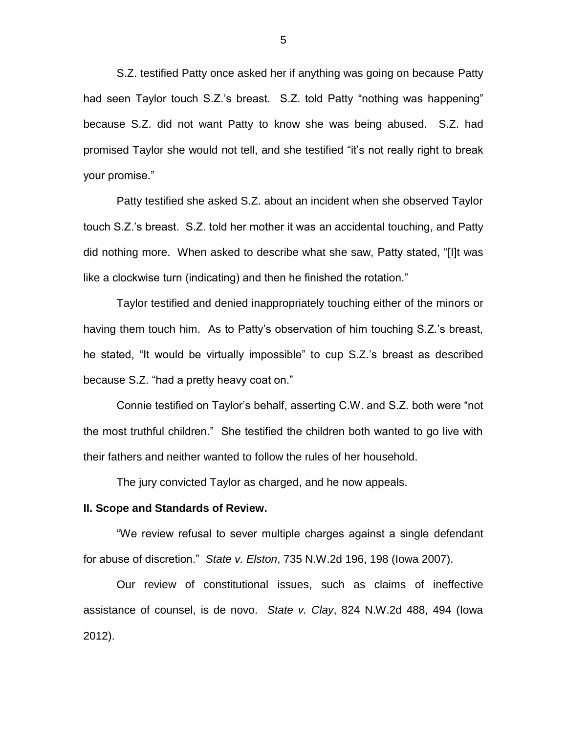S.Z. testified Patty once asked her if anything was going on because Patty had seen Taylor touch S.Z.'s breast. S.Z. told Patty "nothing was happening" because S.Z. did not want Patty to know she was being abused. S.Z. had promised Taylor she would not tell, and she testified "it's not really right to break your promise."

Patty testified she asked S.Z. about an incident when she observed Taylor touch S.Z.'s breast. S.Z. told her mother it was an accidental touching, and Patty did nothing more. When asked to describe what she saw, Patty stated, "[I]t was like a clockwise turn (indicating) and then he finished the rotation."

Taylor testified and denied inappropriately touching either of the minors or having them touch him. As to Patty's observation of him touching S.Z.'s breast, he stated, "It would be virtually impossible" to cup S.Z.'s breast as described because S.Z. "had a pretty heavy coat on."

Connie testified on Taylor's behalf, asserting C.W. and S.Z. both were "not the most truthful children." She testified the children both wanted to go live with their fathers and neither wanted to follow the rules of her household.

The jury convicted Taylor as charged, and he now appeals.

#### **II. Scope and Standards of Review.**

"We review refusal to sever multiple charges against a single defendant for abuse of discretion." *State v. Elston*, 735 N.W.2d 196, 198 (Iowa 2007).

Our review of constitutional issues, such as claims of ineffective assistance of counsel, is de novo. *State v. Clay*, 824 N.W.2d 488, 494 (Iowa 2012).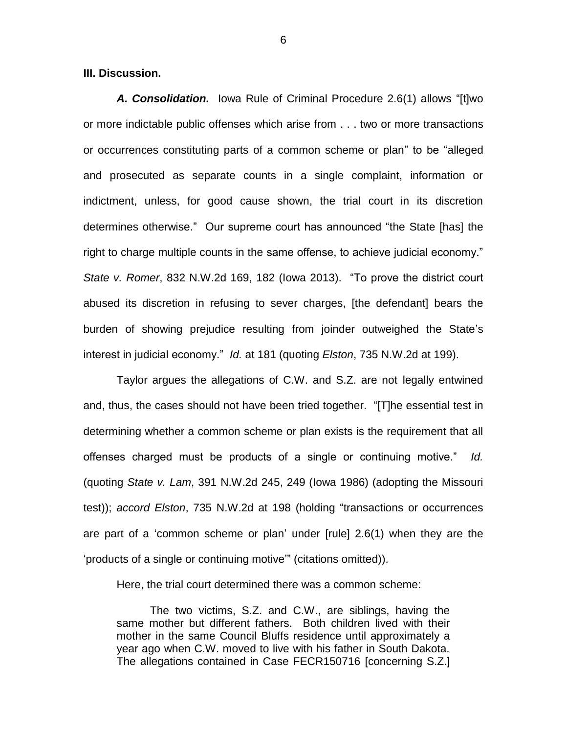**III. Discussion.**

*A. Consolidation.*Iowa Rule of Criminal Procedure 2.6(1) allows "[t]wo or more indictable public offenses which arise from . . . two or more transactions or occurrences constituting parts of a common scheme or plan" to be "alleged and prosecuted as separate counts in a single complaint, information or indictment, unless, for good cause shown, the trial court in its discretion determines otherwise." Our supreme court has announced "the State [has] the right to charge multiple counts in the same offense, to achieve judicial economy." *State v. Romer*, 832 N.W.2d 169, 182 (Iowa 2013). "To prove the district court abused its discretion in refusing to sever charges, [the defendant] bears the burden of showing prejudice resulting from joinder outweighed the State's interest in judicial economy." *Id.* at 181 (quoting *Elston*, 735 N.W.2d at 199).

Taylor argues the allegations of C.W. and S.Z. are not legally entwined and, thus, the cases should not have been tried together. "[T]he essential test in determining whether a common scheme or plan exists is the requirement that all offenses charged must be products of a single or continuing motive." *Id.*  (quoting *State v. Lam*, 391 N.W.2d 245, 249 (Iowa 1986) (adopting the Missouri test)); *accord Elston*, 735 N.W.2d at 198 (holding "transactions or occurrences are part of a 'common scheme or plan' under [rule] 2.6(1) when they are the 'products of a single or continuing motive'" (citations omitted)).

Here, the trial court determined there was a common scheme:

The two victims, S.Z. and C.W., are siblings, having the same mother but different fathers. Both children lived with their mother in the same Council Bluffs residence until approximately a year ago when C.W. moved to live with his father in South Dakota. The allegations contained in Case FECR150716 [concerning S.Z.]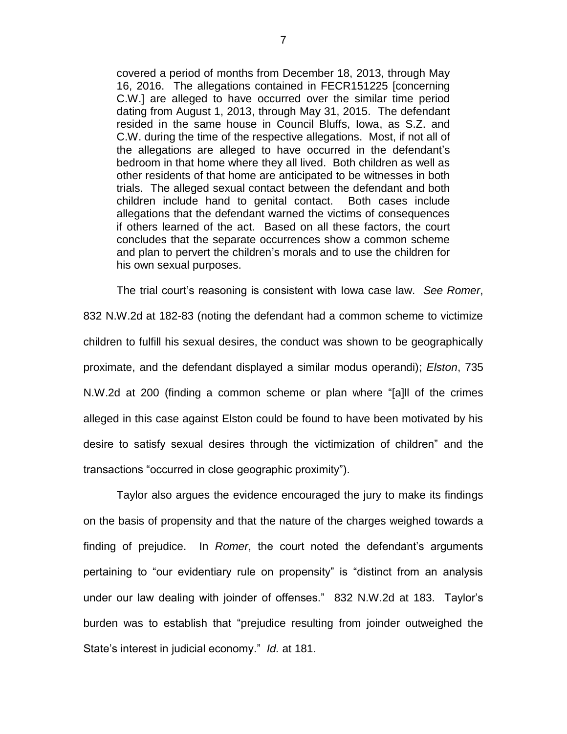covered a period of months from December 18, 2013, through May 16, 2016. The allegations contained in FECR151225 [concerning C.W.] are alleged to have occurred over the similar time period dating from August 1, 2013, through May 31, 2015. The defendant resided in the same house in Council Bluffs, Iowa, as S.Z. and C.W. during the time of the respective allegations. Most, if not all of the allegations are alleged to have occurred in the defendant's bedroom in that home where they all lived. Both children as well as other residents of that home are anticipated to be witnesses in both trials. The alleged sexual contact between the defendant and both children include hand to genital contact. Both cases include allegations that the defendant warned the victims of consequences if others learned of the act. Based on all these factors, the court concludes that the separate occurrences show a common scheme and plan to pervert the children's morals and to use the children for his own sexual purposes.

The trial court's reasoning is consistent with Iowa case law. *See Romer*, 832 N.W.2d at 182-83 (noting the defendant had a common scheme to victimize children to fulfill his sexual desires, the conduct was shown to be geographically proximate, and the defendant displayed a similar modus operandi); *Elston*, 735 N.W.2d at 200 (finding a common scheme or plan where "[a]ll of the crimes alleged in this case against Elston could be found to have been motivated by his desire to satisfy sexual desires through the victimization of children" and the transactions "occurred in close geographic proximity").

Taylor also argues the evidence encouraged the jury to make its findings on the basis of propensity and that the nature of the charges weighed towards a finding of prejudice. In *Romer*, the court noted the defendant's arguments pertaining to "our evidentiary rule on propensity" is "distinct from an analysis under our law dealing with joinder of offenses." 832 N.W.2d at 183. Taylor's burden was to establish that "prejudice resulting from joinder outweighed the State's interest in judicial economy." *Id.* at 181.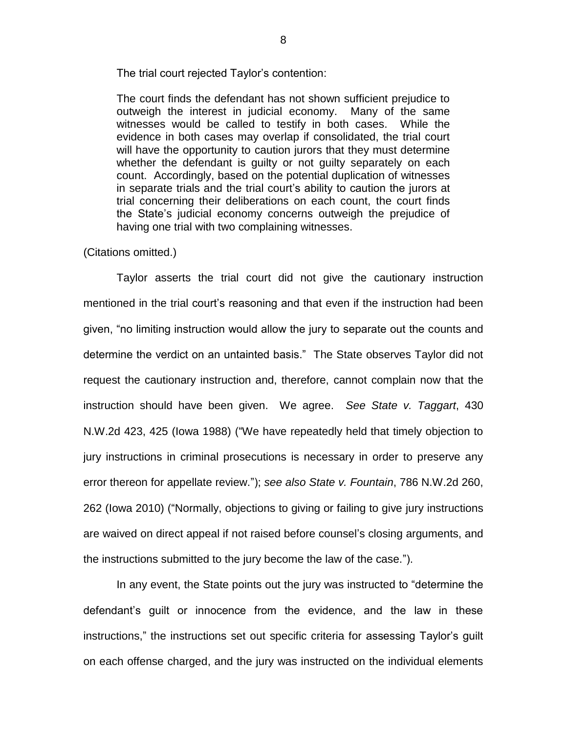The trial court rejected Taylor's contention:

The court finds the defendant has not shown sufficient prejudice to outweigh the interest in judicial economy. Many of the same witnesses would be called to testify in both cases. While the evidence in both cases may overlap if consolidated, the trial court will have the opportunity to caution jurors that they must determine whether the defendant is guilty or not guilty separately on each count. Accordingly, based on the potential duplication of witnesses in separate trials and the trial court's ability to caution the jurors at trial concerning their deliberations on each count, the court finds the State's judicial economy concerns outweigh the prejudice of having one trial with two complaining witnesses.

### (Citations omitted.)

Taylor asserts the trial court did not give the cautionary instruction mentioned in the trial court's reasoning and that even if the instruction had been given, "no limiting instruction would allow the jury to separate out the counts and determine the verdict on an untainted basis." The State observes Taylor did not request the cautionary instruction and, therefore, cannot complain now that the instruction should have been given. We agree. *See State v. Taggart*, 430 N.W.2d 423, 425 (Iowa 1988) ("We have repeatedly held that timely objection to jury instructions in criminal prosecutions is necessary in order to preserve any error thereon for appellate review."); *see also State v. Fountain*, 786 N.W.2d 260, 262 (Iowa 2010) ("Normally, objections to giving or failing to give jury instructions are waived on direct appeal if not raised before counsel's closing arguments, and the instructions submitted to the jury become the law of the case.").

In any event, the State points out the jury was instructed to "determine the defendant's guilt or innocence from the evidence, and the law in these instructions," the instructions set out specific criteria for assessing Taylor's guilt on each offense charged, and the jury was instructed on the individual elements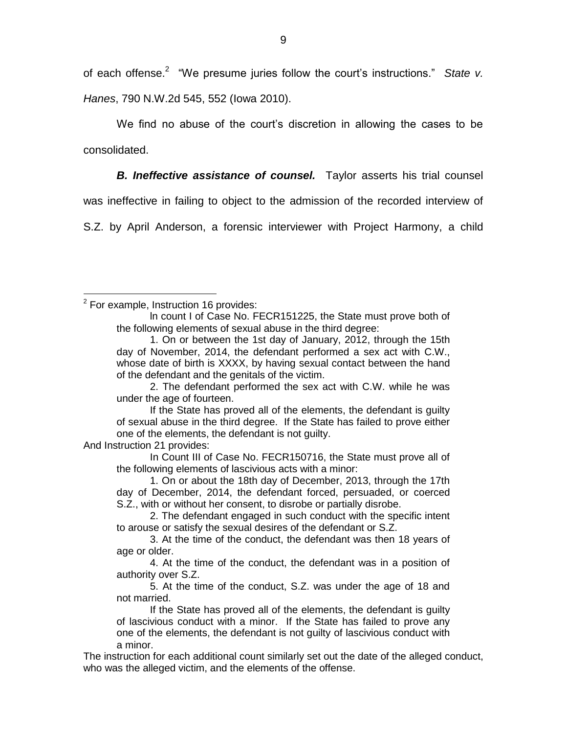of each offense.<sup>2</sup> "We presume juries follow the court's instructions." State v. *Hanes*, 790 N.W.2d 545, 552 (Iowa 2010).

We find no abuse of the court's discretion in allowing the cases to be consolidated.

**B. Ineffective assistance of counsel.** Taylor asserts his trial counsel

was ineffective in failing to object to the admission of the recorded interview of

S.Z. by April Anderson, a forensic interviewer with Project Harmony, a child

 $\overline{a}$ 

2. The defendant performed the sex act with C.W. while he was under the age of fourteen.

If the State has proved all of the elements, the defendant is guilty of sexual abuse in the third degree. If the State has failed to prove either one of the elements, the defendant is not guilty.

And Instruction 21 provides:

In Count III of Case No. FECR150716, the State must prove all of the following elements of lascivious acts with a minor:

1. On or about the 18th day of December, 2013, through the 17th day of December, 2014, the defendant forced, persuaded, or coerced S.Z., with or without her consent, to disrobe or partially disrobe.

2. The defendant engaged in such conduct with the specific intent to arouse or satisfy the sexual desires of the defendant or S.Z.

3. At the time of the conduct, the defendant was then 18 years of age or older.

4. At the time of the conduct, the defendant was in a position of authority over S.Z.

5. At the time of the conduct, S.Z. was under the age of 18 and not married.

If the State has proved all of the elements, the defendant is guilty of lascivious conduct with a minor. If the State has failed to prove any one of the elements, the defendant is not guilty of lascivious conduct with a minor.

The instruction for each additional count similarly set out the date of the alleged conduct, who was the alleged victim, and the elements of the offense.

 $2$  For example, Instruction 16 provides:

ln count I of Case No. FECR151225, the State must prove both of the following elements of sexual abuse in the third degree:

<sup>1.</sup> On or between the 1st day of January, 2012, through the 15th day of November, 2014, the defendant performed a sex act with C.W., whose date of birth is XXXX, by having sexual contact between the hand of the defendant and the genitals of the victim.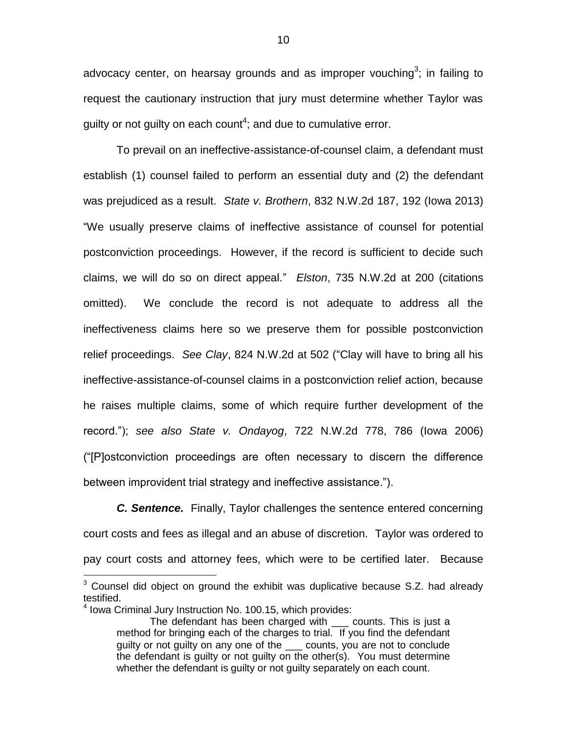advocacy center, on hearsay grounds and as improper vouching<sup>3</sup>; in failing to request the cautionary instruction that jury must determine whether Taylor was guilty or not guilty on each count<sup>4</sup>; and due to cumulative error.

To prevail on an ineffective-assistance-of-counsel claim, a defendant must establish (1) counsel failed to perform an essential duty and (2) the defendant was prejudiced as a result. *State v. Brothern*, 832 N.W.2d 187, 192 (Iowa 2013) "We usually preserve claims of ineffective assistance of counsel for potential postconviction proceedings. However, if the record is sufficient to decide such claims, we will do so on direct appeal." *Elston*, 735 N.W.2d at 200 (citations omitted). We conclude the record is not adequate to address all the ineffectiveness claims here so we preserve them for possible postconviction relief proceedings. *See Clay*, 824 N.W.2d at 502 ("Clay will have to bring all his ineffective-assistance-of-counsel claims in a postconviction relief action, because he raises multiple claims, some of which require further development of the record."); *see also State v. Ondayog*, 722 N.W.2d 778, 786 (Iowa 2006) ("[P]ostconviction proceedings are often necessary to discern the difference between improvident trial strategy and ineffective assistance.").

*C.* Sentence. Finally, Taylor challenges the sentence entered concerning court costs and fees as illegal and an abuse of discretion. Taylor was ordered to pay court costs and attorney fees, which were to be certified later. Because

 $\overline{a}$ 

 $3$  Counsel did object on ground the exhibit was duplicative because S.Z. had already testified.

<sup>&</sup>lt;sup>4</sup> Iowa Criminal Jury Instruction No. 100.15, which provides:

The defendant has been charged with \_\_\_ counts. This is just a method for bringing each of the charges to trial. If you find the defendant guilty or not guilty on any one of the \_\_\_ counts, you are not to conclude the defendant is guilty or not guilty on the other(s). You must determine whether the defendant is guilty or not guilty separately on each count.